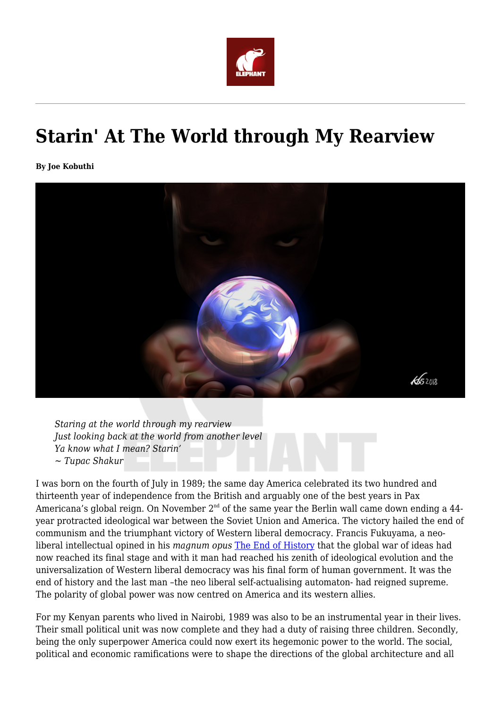

## **Starin' At The World through My Rearview**

**By Joe Kobuthi**



*Staring at the world through my rearview Just looking back at the world from another level Ya know what I mean? Starin' ~ Tupac Shakur*

I was born on the fourth of July in 1989; the same day America celebrated its two hundred and thirteenth year of independence from the British and arguably one of the best years in Pax Americana's global reign. On November  $2<sup>nd</sup>$  of the same year the Berlin wall came down ending a 44year protracted ideological war between the Soviet Union and America. The victory hailed the end of communism and the triumphant victory of Western liberal democracy. Francis Fukuyama, a neoliberal intellectual opined in his *magnum opus* [The End of History](https://www.embl.de/aboutus/science_society/discussion/discussion_2006/ref1-22june06.pdf) that the global war of ideas had now reached its final stage and with it man had reached his zenith of ideological evolution and the universalization of Western liberal democracy was his final form of human government. It was the end of history and the last man –the neo liberal self-actualising automaton- had reigned supreme. The polarity of global power was now centred on America and its western allies.

For my Kenyan parents who lived in Nairobi, 1989 was also to be an instrumental year in their lives. Their small political unit was now complete and they had a duty of raising three children. Secondly, being the only superpower America could now exert its hegemonic power to the world. The social, political and economic ramifications were to shape the directions of the global architecture and all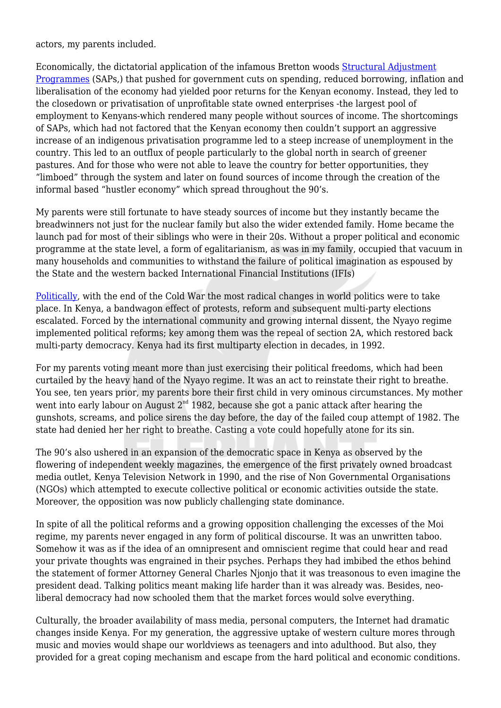actors, my parents included.

Economically, the dictatorial application of the infamous Bretton woods [Structural Adjustment](https://www.amazon.com/Kenya-History-Independence-Charles-Hornsby/dp/1780765010) [Programmes](https://www.amazon.com/Kenya-History-Independence-Charles-Hornsby/dp/1780765010) (SAPs,) that pushed for government cuts on spending, reduced borrowing, inflation and liberalisation of the economy had yielded poor returns for the Kenyan economy. Instead, they led to the closedown or privatisation of unprofitable state owned enterprises -the largest pool of employment to Kenyans-which rendered many people without sources of income. The shortcomings of SAPs, which had not factored that the Kenyan economy then couldn't support an aggressive increase of an indigenous privatisation programme led to a steep increase of unemployment in the country. This led to an outflux of people particularly to the global north in search of greener pastures. And for those who were not able to leave the country for better opportunities, they "limboed" through the system and later on found sources of income through the creation of the informal based "hustler economy" which spread throughout the 90's.

My parents were still fortunate to have steady sources of income but they instantly became the breadwinners not just for the nuclear family but also the wider extended family. Home became the launch pad for most of their siblings who were in their 20s. Without a proper political and economic programme at the state level, a form of egalitarianism, as was in my family, occupied that vacuum in many households and communities to withstand the failure of political imagination as espoused by the State and the western backed International Financial Institutions (IFIs)

[Politically,](https://www.amazon.com/Kenya-History-Independence-Charles-Hornsby/dp/1780765010) with the end of the Cold War the most radical changes in world politics were to take place. In Kenya, a bandwagon effect of protests, reform and subsequent multi-party elections escalated. Forced by the international community and growing internal dissent, the Nyayo regime implemented political reforms; key among them was the repeal of section 2A, which restored back multi-party democracy. Kenya had its first multiparty election in decades, in 1992.

For my parents voting meant more than just exercising their political freedoms, which had been curtailed by the heavy hand of the Nyayo regime. It was an act to reinstate their right to breathe. You see, ten years prior, my parents bore their first child in very ominous circumstances. My mother went into early labour on August  $2<sup>nd</sup>$  1982, because she got a panic attack after hearing the gunshots, screams, and police sirens the day before, the day of the failed coup attempt of 1982. The state had denied her her right to breathe. Casting a vote could hopefully atone for its sin.

The 90's also ushered in an expansion of the democratic space in Kenya as observed by the flowering of independent weekly magazines, the emergence of the first privately owned broadcast media outlet, Kenya Television Network in 1990, and the rise of Non Governmental Organisations (NGOs) which attempted to execute collective political or economic activities outside the state. Moreover, the opposition was now publicly challenging state dominance.

In spite of all the political reforms and a growing opposition challenging the excesses of the Moi regime, my parents never engaged in any form of political discourse. It was an unwritten taboo. Somehow it was as if the idea of an omnipresent and omniscient regime that could hear and read your private thoughts was engrained in their psyches. Perhaps they had imbibed the ethos behind the statement of former Attorney General Charles Njonjo that it was treasonous to even imagine the president dead. Talking politics meant making life harder than it was already was. Besides, neoliberal democracy had now schooled them that the market forces would solve everything.

Culturally, the broader availability of mass media, personal computers, the Internet had dramatic changes inside Kenya. For my generation, the aggressive uptake of western culture mores through music and movies would shape our worldviews as teenagers and into adulthood. But also, they provided for a great coping mechanism and escape from the hard political and economic conditions.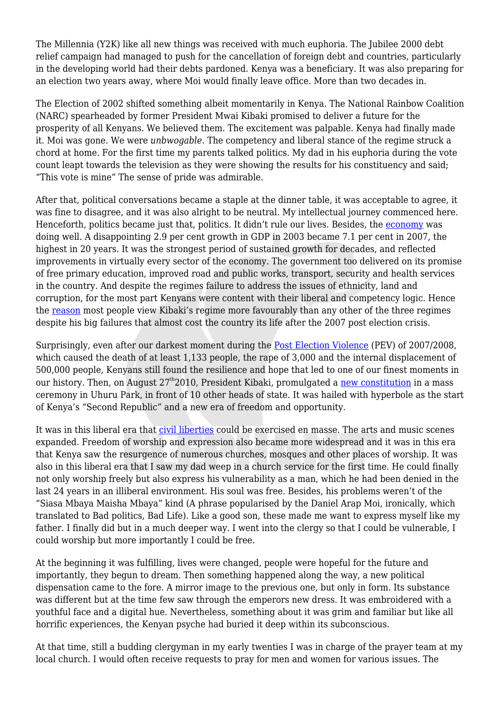The Millennia (Y2K) like all new things was received with much euphoria. The Jubilee 2000 debt relief campaign had managed to push for the cancellation of foreign debt and countries, particularly in the developing world had their debts pardoned. Kenya was a beneficiary. It was also preparing for an election two years away, where Moi would finally leave office. More than two decades in.

The Election of 2002 shifted something albeit momentarily in Kenya. The National Rainbow Coalition (NARC) spearheaded by former President Mwai Kibaki promised to deliver a future for the prosperity of all Kenyans. We believed them. The excitement was palpable. Kenya had finally made it. Moi was gone. We were *unbwogable*. The competency and liberal stance of the regime struck a chord at home. For the first time my parents talked politics. My dad in his euphoria during the vote count leapt towards the television as they were showing the results for his constituency and said; "This vote is mine" The sense of pride was admirable.

After that, political conversations became a staple at the dinner table, it was acceptable to agree, it was fine to disagree, and it was also alright to be neutral. My intellectual journey commenced here. Henceforth, politics became just that, politics. It didn't rule our lives. Besides, the [economy](https://www.amazon.com/Kenya-History-Independence-Charles-Hornsby/dp/1780765010) was doing well. A disappointing 2.9 per cent growth in GDP in 2003 became 7.1 per cent in 2007, the highest in 20 years. It was the strongest period of sustained growth for decades, and reflected improvements in virtually every sector of the economy. The government too delivered on its promise of free primary education, improved road and public works, transport, security and health services in the country. And despite the regimes failure to address the issues of ethnicity, land and corruption, for the most part Kenyans were content with their liberal and competency logic. Hence the [reason](https://www.nation.co.ke/oped/opinion/Jubilee-like-Moi-regime-scores-a-zero-/440808-2638032-kdoqpn/index.html) most people view Kibaki's regime more favourably than any other of the three regimes despite his big failures that almost cost the country its life after the 2007 post election crisis.

Surprisingly, even after our darkest moment during the [Post Election Violence](https://lawexplores.com/the-post-election-violence-and-immediate-aftermath/) (PEV) of 2007/2008, which caused the death of at least 1,133 people, the rape of 3,000 and the internal displacement of 500,000 people, Kenyans still found the resilience and hope that led to one of our finest moments in our history. Then, on August  $27<sup>th</sup>2010$ , President Kibaki, promulgated a [new constitution](https://www.amazon.com/Kenya-History-Independence-Charles-Hornsby/dp/1780765010) in a mass ceremony in Uhuru Park, in front of 10 other heads of state. It was hailed with hyperbole as the start of Kenya's "Second Republic" and a new era of freedom and opportunity.

It was in this liberal era that [civil liberties](https://www.amazon.com/Kenya-Between-Hope-Despair-1963-2011/dp/0300148763) could be exercised en masse. The arts and music scenes expanded. Freedom of worship and expression also became more widespread and it was in this era that Kenya saw the resurgence of numerous churches, mosques and other places of worship. It was also in this liberal era that I saw my dad weep in a church service for the first time. He could finally not only worship freely but also express his vulnerability as a man, which he had been denied in the last 24 years in an illiberal environment. His soul was free. Besides, his problems weren't of the "Siasa Mbaya Maisha Mbaya" kind (A phrase popularised by the Daniel Arap Moi, ironically, which translated to Bad politics, Bad Life). Like a good son, these made me want to express myself like my father. I finally did but in a much deeper way. I went into the clergy so that I could be vulnerable, I could worship but more importantly I could be free.

At the beginning it was fulfilling, lives were changed, people were hopeful for the future and importantly, they begun to dream. Then something happened along the way, a new political dispensation came to the fore. A mirror image to the previous one, but only in form. Its substance was different but at the time few saw through the emperors new dress. It was embroidered with a youthful face and a digital hue. Nevertheless, something about it was grim and familiar but like all horrific experiences, the Kenyan psyche had buried it deep within its subconscious.

At that time, still a budding clergyman in my early twenties I was in charge of the prayer team at my local church. I would often receive requests to pray for men and women for various issues. The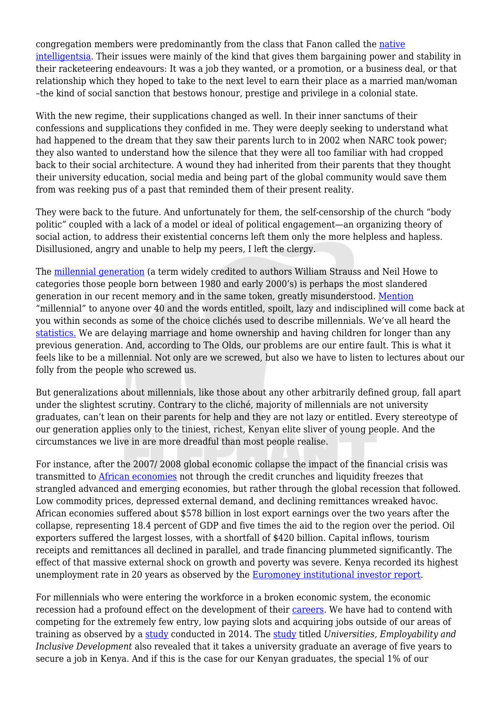congregation members were predominantly from the class that Fanon called the [native](https://www.amazon.com/Wretched-Earth-Frantz-Fanon/dp/0802141323) [intelligentsia](https://www.amazon.com/Wretched-Earth-Frantz-Fanon/dp/0802141323). Their issues were mainly of the kind that gives them bargaining power and stability in their racketeering endeavours: It was a job they wanted, or a promotion, or a business deal, or that relationship which they hoped to take to the next level to earn their place as a married man/woman –the kind of social sanction that bestows honour, prestige and privilege in a colonial state.

With the new regime, their supplications changed as well. In their inner sanctums of their confessions and supplications they confided in me. They were deeply seeking to understand what had happened to the dream that they saw their parents lurch to in 2002 when NARC took power; they also wanted to understand how the silence that they were all too familiar with had cropped back to their social architecture. A wound they had inherited from their parents that they thought their university education, social media and being part of the global community would save them from was reeking pus of a past that reminded them of their present reality.

They were back to the future. And unfortunately for them, the self-censorship of the church "body politic" coupled with a lack of a model or ideal of political engagement—an organizing theory of social action, to address their existential concerns left them only the more helpless and hapless. Disillusioned, angry and unable to help my peers, I left the clergy.

The [millennial generation](https://en.wikipedia.org/wiki/Millennials) (a term widely credited to authors William Strauss and Neil Howe to categories those people born between 1980 and early 2000's) is perhaps the most slandered generation in our recent memory and in the same token, greatly misunderstood. [Mention](https://highline.huffingtonpost.com/articles/en/poor-millennials/) "millennial" to anyone over 40 and the words entitled, spoilt, lazy and indisciplined will come back at you within seconds as some of the choice clichés used to describe millennials. We've all heard the [statistics.](https://www.nation.co.ke/news/The--me-me--group-that-has-paused-life-s-milestones/1056-4375798-12xpuri/index.html) We are delaying marriage and home ownership and having children for longer than any previous generation. And, according to The Olds, our problems are our entire fault. This is what it feels like to be a millennial. Not only are we screwed, but also we have to listen to lectures about our folly from the people who screwed us.

But generalizations about millennials, like those about any other arbitrarily defined group, fall apart under the slightest scrutiny. Contrary to the cliché, majority of millennials are not university graduates, can't lean on their parents for help and they are not lazy or entitled. Every stereotype of our generation applies only to the tiniest, richest, Kenyan elite sliver of young people. And the circumstances we live in are more dreadful than most people realise.

For instance, after the 2007/ 2008 global economic collapse the impact of the financial crisis was transmitted to [African economies](https://carnegieendowment.org/2009/04/15/impact-of-financial-crisis-on-africa-pub-22995) not through the credit crunches and liquidity freezes that strangled advanced and emerging economies, but rather through the global recession that followed. Low commodity prices, depressed external demand, and declining remittances wreaked havoc. African economies suffered about \$578 billion in lost export earnings over the two years after the collapse, representing 18.4 percent of GDP and five times the aid to the region over the period. Oil exporters suffered the largest losses, with a shortfall of \$420 billion. Capital inflows, tourism receipts and remittances all declined in parallel, and trade financing plummeted significantly. The effect of that massive external shock on growth and poverty was severe. Kenya recorded its highest unemployment rate in 20 years as observed by the [Euromoney institutional investor report.](https://www.ceicdata.com/en/indicator/kenya/unemployment-rate)

For millennials who were entering the workforce in a broken economic system, the economic recession had a profound effect on the development of their [careers](http://www.startribune.com/how-the-recession-split-the-millennial-generation-into-haves-and-have-nots/422810293/). We have had to contend with competing for the extremely few entry, low paying slots and acquiring jobs outside of our areas of training as observed by a [study](https://www.nation.co.ke/news/Too-many-graduates-but-where-are-the-jobs/1056-2484168-5jihes/index.html) conducted in 2014. The [study](https://www.nation.co.ke/news/Too-many-graduates-but-where-are-the-jobs/1056-2484168-5jihes/index.html) titled *Universities, Employability and Inclusive Development* also revealed that it takes a university graduate an average of five years to secure a job in Kenya. And if this is the case for our Kenyan graduates, the special 1% of our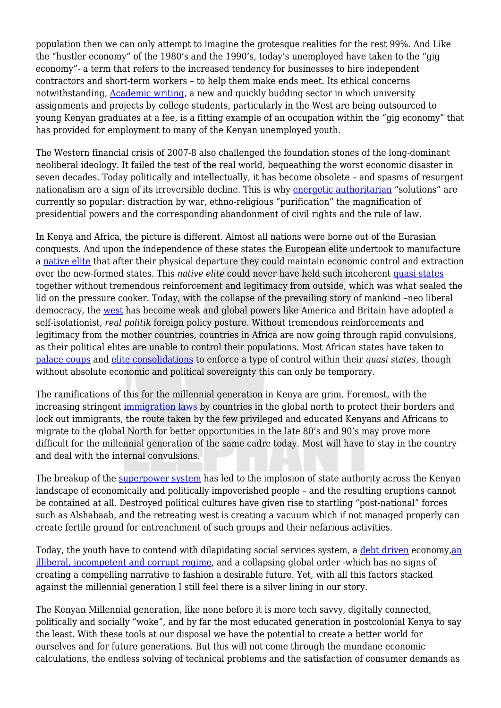population then we can only attempt to imagine the grotesque realities for the rest 99%. And Like the "hustler economy" of the 1980's and the 1990's, today's unemployed have taken to the "gig economy"- a term that refers to the increased tendency for businesses to hire independent contractors and short-term workers – to help them make ends meet. Its ethical concerns notwithstanding, [Academic writing,](https://www.standardmedia.co.ke/business/article/2001239024/how-kenyans-make-money-through-online-writing) a new and quickly budding sector in which university assignments and projects by college students, particularly in the West are being outsourced to young Kenyan graduates at a fee, is a fitting example of an occupation within the "gig economy" that has provided for employment to many of the Kenyan unemployed youth.

The Western financial crisis of 2007-8 also challenged the foundation stones of the long-dominant neoliberal ideology. It failed the test of the real world, bequeathing the worst economic disaster in seven decades. Today politically and intellectually, it has become obsolete – and spasms of resurgent nationalism are a sign of its irreversible decline. This is why [energetic authoritarian](https://www.theguardian.com/news/2018/apr/05/demise-of-the-nation-state-rana-dasgupta?CMP=share_btn_tw) "solutions" are currently so popular: distraction by war, ethno-religious "purification" the magnification of presidential powers and the corresponding abandonment of civil rights and the rule of law.

In Kenya and Africa, the picture is different. Almost all nations were borne out of the Eurasian conquests. And upon the independence of these states the European elite undertook to manufacture a [native elite](https://www.amazon.com/Wretched-Earth-Frantz-Fanon/dp/0802141323) that after their physical departure they could maintain economic control and extraction over the new-formed states. This *native elite* could never have held such incoherent [quasi states](https://www.theguardian.com/news/2018/apr/05/demise-of-the-nation-state-rana-dasgupta?CMP=share_btn_tw) together without tremendous reinforcement and legitimacy from outside, which was what sealed the lid on the pressure cooker. Today, with the collapse of the prevailing story of mankind –neo liberal democracy, the [west](https://www.theelephant.info/features/2018/01/25/back-to-the-future-africa-and-the-new-cold-war/) has become weak and global powers like America and Britain have adopted a self-isolationist, *real politik* foreign policy posture. Without tremendous reinforcements and legitimacy from the mother countries, countries in Africa are now going through rapid convulsions, as their political elites are unable to control their populations. Most African states have taken to [palace coups](https://www.ft.com/content/dd7d286a-162b-11e8-9e9c-25c814761640) and [elite consolidations](https://theeastafricanreview.info/op-eds/2018/04/14/this-is-what-its-cost-us/) to enforce a type of control within their *quasi states*, though without absolute economic and political sovereignty this can only be temporary.

The ramifications of this for the millennial generation in Kenya are grim. Foremost, with the increasing stringent [immigration laws](https://www.nation.co.ke/news/Many-Kenyans-deported-under-Donald-Trump/1056-4301966-m1vtnz/index.html) by countries in the global north to protect their borders and lock out immigrants, the route taken by the few privileged and educated Kenyans and Africans to migrate to the global North for better opportunities in the late 80's and 90's may prove more difficult for the millennial generation of the same cadre today. Most will have to stay in the country and deal with the internal convulsions.

The breakup of the [superpower system](https://www.theguardian.com/news/2018/apr/05/demise-of-the-nation-state-rana-dasgupta?CMP=share_btn_tw) has led to the implosion of state authority across the Kenyan landscape of economically and politically impoverished people – and the resulting eruptions cannot be contained at all. Destroyed political cultures have given rise to startling "post-national" forces such as Alshabaab, and the retreating west is creating a vacuum which if not managed properly can create fertile ground for entrenchment of such groups and their nefarious activities.

Today, the youth have to contend with dilapidating social services system, a [debt driven](https://www.nation.co.ke/oped/opinion/Jubilee-s-borrowing-binge/440808-4191788-sty2lr/index.html) economy, [an](https://www.nation.co.ke/oped/opinion/Jubilee-like-Moi-regime-scores-a-zero-/440808-2638032-kdoqpn/index.html) [illiberal, incompetent and corrupt regime](https://www.nation.co.ke/oped/opinion/Jubilee-like-Moi-regime-scores-a-zero-/440808-2638032-kdoqpn/index.html), and a collapsing global order -which has no signs of creating a compelling narrative to fashion a desirable future. Yet, with all this factors stacked against the millennial generation I still feel there is a silver lining in our story.

The Kenyan Millennial generation, like none before it is more tech savvy, digitally connected, politically and socially "woke", and by far the most educated generation in postcolonial Kenya to say the least. With these tools at our disposal we have the potential to create a better world for ourselves and for future generations. But this will not come through the mundane economic calculations, the endless solving of technical problems and the satisfaction of consumer demands as